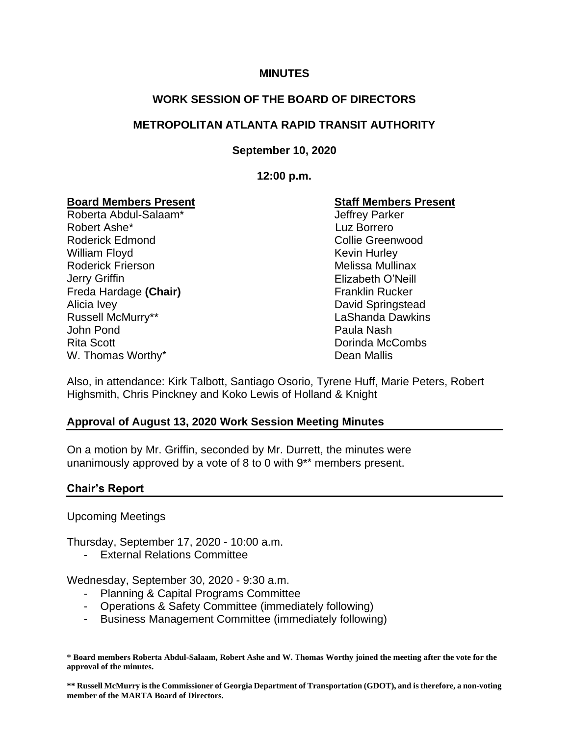#### **MINUTES**

## **WORK SESSION OF THE BOARD OF DIRECTORS**

## **METROPOLITAN ATLANTA RAPID TRANSIT AUTHORITY**

**September 10, 2020**

**12:00 p.m.**

## **Board Members Present**

Roberta Abdul-Salaam\* Robert Ashe\* Roderick Edmond William Floyd Roderick Frierson Jerry Griffin Freda Hardage **(Chair)** Alicia Ivey Russell McMurry\*\* John Pond Rita Scott W. Thomas Worthy\* The Controller of the Dean Mallis

#### **Staff Members Present**

Jeffrey Parker Luz Borrero Collie Greenwood Kevin Hurley Melissa Mullinax Elizabeth O'Neill Franklin Rucker David Springstead LaShanda Dawkins Paula Nash Dorinda McCombs

Also, in attendance: Kirk Talbott, Santiago Osorio, Tyrene Huff, Marie Peters, Robert Highsmith, Chris Pinckney and Koko Lewis of Holland & Knight

#### **Approval of August 13, 2020 Work Session Meeting Minutes**

On a motion by Mr. Griffin, seconded by Mr. Durrett, the minutes were unanimously approved by a vote of 8 to 0 with 9\*\* members present.

#### **Chair's Report**

Upcoming Meetings

Thursday, September 17, 2020 - 10:00 a.m.

- External Relations Committee

Wednesday, September 30, 2020 - 9:30 a.m.

- Planning & Capital Programs Committee
- Operations & Safety Committee (immediately following)
- Business Management Committee (immediately following)

**\* Board members Roberta Abdul-Salaam, Robert Ashe and W. Thomas Worthy joined the meeting after the vote for the approval of the minutes.**

**\*\* Russell McMurry is the Commissioner of Georgia Department of Transportation (GDOT), and is therefore, a non-voting member of the MARTA Board of Directors.**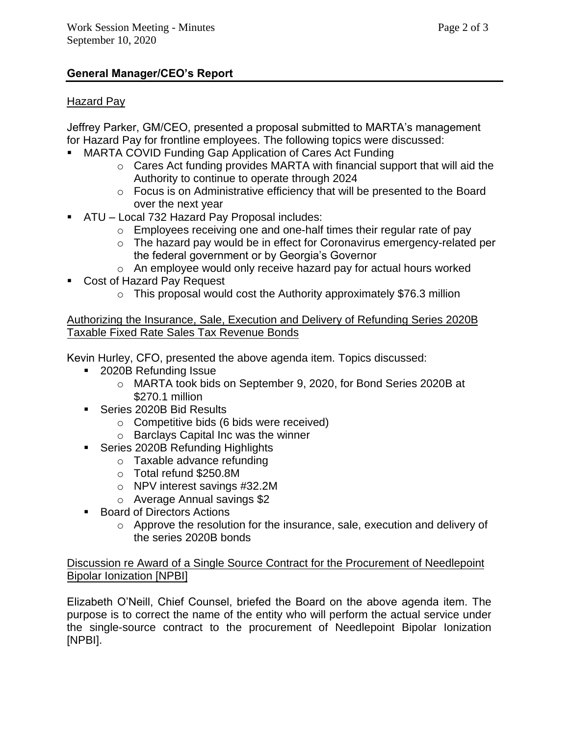# **General Manager/CEO's Report**

# Hazard Pay

Jeffrey Parker, GM/CEO, presented a proposal submitted to MARTA's management for Hazard Pay for frontline employees. The following topics were discussed:

- MARTA COVID Funding Gap Application of Cares Act Funding
	- o Cares Act funding provides MARTA with financial support that will aid the Authority to continue to operate through 2024
	- o Focus is on Administrative efficiency that will be presented to the Board over the next year
- ATU Local 732 Hazard Pay Proposal includes:
	- $\circ$  Employees receiving one and one-half times their regular rate of pay
	- o The hazard pay would be in effect for Coronavirus emergency-related per the federal government or by Georgia's Governor
	- o An employee would only receive hazard pay for actual hours worked
- **Cost of Hazard Pay Request** 
	- $\circ$  This proposal would cost the Authority approximately \$76.3 million

Authorizing the Insurance, Sale, Execution and Delivery of Refunding Series 2020B Taxable Fixed Rate Sales Tax Revenue Bonds

Kevin Hurley, CFO, presented the above agenda item. Topics discussed:

- 2020B Refunding Issue
	- o MARTA took bids on September 9, 2020, for Bond Series 2020B at \$270.1 million
- Series 2020B Bid Results
	- o Competitive bids (6 bids were received)
	- o Barclays Capital Inc was the winner
- Series 2020B Refunding Highlights
	- o Taxable advance refunding
	- o Total refund \$250.8M
	- o NPV interest savings #32.2M
	- o Average Annual savings \$2
- Board of Directors Actions
	- o Approve the resolution for the insurance, sale, execution and delivery of the series 2020B bonds

Discussion re Award of a Single Source Contract for the Procurement of Needlepoint Bipolar Ionization [NPBI]

Elizabeth O'Neill, Chief Counsel, briefed the Board on the above agenda item. The purpose is to correct the name of the entity who will perform the actual service under the single-source contract to the procurement of Needlepoint Bipolar Ionization [NPBI].